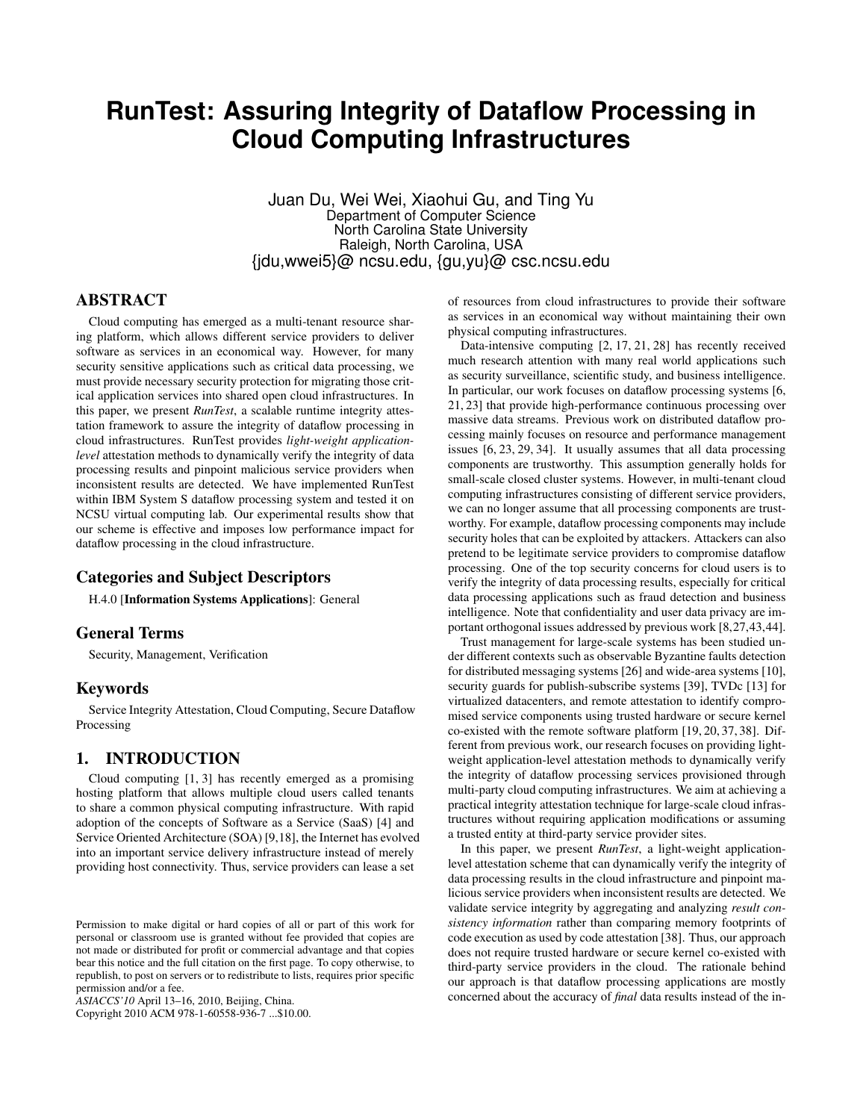# **RunTest: Assuring Integrity of Dataflow Processing in Cloud Computing Infrastructures**

Juan Du, Wei Wei, Xiaohui Gu, and Ting Yu Department of Computer Science North Carolina State University Raleigh, North Carolina, USA {jdu,wwei5}@ ncsu.edu, {gu,yu}@ csc.ncsu.edu

# ABSTRACT

Cloud computing has emerged as a multi-tenant resource sharing platform, which allows different service providers to deliver software as services in an economical way. However, for many security sensitive applications such as critical data processing, we must provide necessary security protection for migrating those critical application services into shared open cloud infrastructures. In this paper, we present *RunTest*, a scalable runtime integrity attestation framework to assure the integrity of dataflow processing in cloud infrastructures. RunTest provides *light-weight applicationlevel* attestation methods to dynamically verify the integrity of data processing results and pinpoint malicious service providers when inconsistent results are detected. We have implemented RunTest within IBM System S dataflow processing system and tested it on NCSU virtual computing lab. Our experimental results show that our scheme is effective and imposes low performance impact for dataflow processing in the cloud infrastructure.

## Categories and Subject Descriptors

H.4.0 [Information Systems Applications]: General

## General Terms

Security, Management, Verification

#### Keywords

Service Integrity Attestation, Cloud Computing, Secure Dataflow Processing

# 1. INTRODUCTION

Cloud computing [1, 3] has recently emerged as a promising hosting platform that allows multiple cloud users called tenants to share a common physical computing infrastructure. With rapid adoption of the concepts of Software as a Service (SaaS) [4] and Service Oriented Architecture (SOA) [9,18], the Internet has evolved into an important service delivery infrastructure instead of merely providing host connectivity. Thus, service providers can lease a set

Copyright 2010 ACM 978-1-60558-936-7 ...\$10.00.

of resources from cloud infrastructures to provide their software as services in an economical way without maintaining their own physical computing infrastructures.

Data-intensive computing [2, 17, 21, 28] has recently received much research attention with many real world applications such as security surveillance, scientific study, and business intelligence. In particular, our work focuses on dataflow processing systems [6, 21, 23] that provide high-performance continuous processing over massive data streams. Previous work on distributed dataflow processing mainly focuses on resource and performance management issues [6, 23, 29, 34]. It usually assumes that all data processing components are trustworthy. This assumption generally holds for small-scale closed cluster systems. However, in multi-tenant cloud computing infrastructures consisting of different service providers, we can no longer assume that all processing components are trustworthy. For example, dataflow processing components may include security holes that can be exploited by attackers. Attackers can also pretend to be legitimate service providers to compromise dataflow processing. One of the top security concerns for cloud users is to verify the integrity of data processing results, especially for critical data processing applications such as fraud detection and business intelligence. Note that confidentiality and user data privacy are important orthogonal issues addressed by previous work [8,27,43,44].

Trust management for large-scale systems has been studied under different contexts such as observable Byzantine faults detection for distributed messaging systems [26] and wide-area systems [10], security guards for publish-subscribe systems [39], TVDc [13] for virtualized datacenters, and remote attestation to identify compromised service components using trusted hardware or secure kernel co-existed with the remote software platform [19, 20, 37, 38]. Different from previous work, our research focuses on providing lightweight application-level attestation methods to dynamically verify the integrity of dataflow processing services provisioned through multi-party cloud computing infrastructures. We aim at achieving a practical integrity attestation technique for large-scale cloud infrastructures without requiring application modifications or assuming a trusted entity at third-party service provider sites.

In this paper, we present *RunTest*, a light-weight applicationlevel attestation scheme that can dynamically verify the integrity of data processing results in the cloud infrastructure and pinpoint malicious service providers when inconsistent results are detected. We validate service integrity by aggregating and analyzing *result consistency information* rather than comparing memory footprints of code execution as used by code attestation [38]. Thus, our approach does not require trusted hardware or secure kernel co-existed with third-party service providers in the cloud. The rationale behind our approach is that dataflow processing applications are mostly concerned about the accuracy of *final* data results instead of the in-

Permission to make digital or hard copies of all or part of this work for personal or classroom use is granted without fee provided that copies are not made or distributed for profit or commercial advantage and that copies bear this notice and the full citation on the first page. To copy otherwise, to republish, to post on servers or to redistribute to lists, requires prior specific permission and/or a fee.

*ASIACCS'10* April 13–16, 2010, Beijing, China.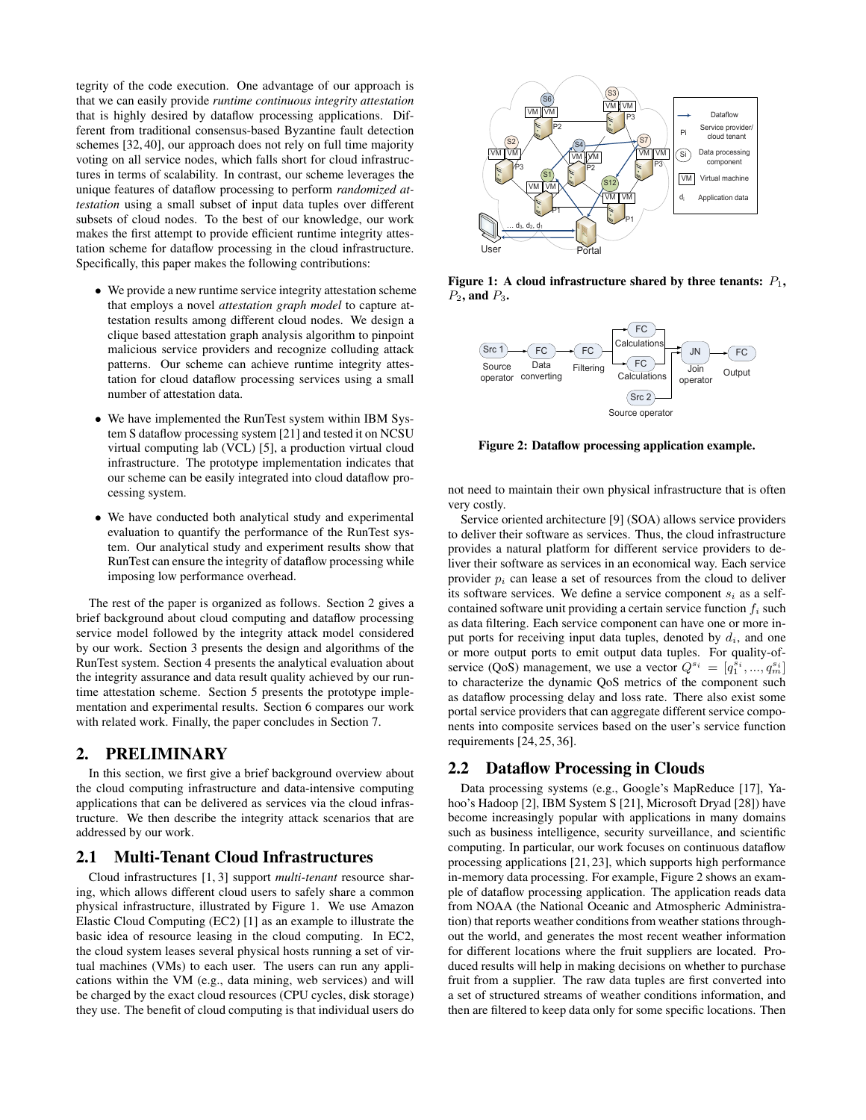tegrity of the code execution. One advantage of our approach is that we can easily provide *runtime continuous integrity attestation* that is highly desired by dataflow processing applications. Different from traditional consensus-based Byzantine fault detection schemes [32, 40], our approach does not rely on full time majority voting on all service nodes, which falls short for cloud infrastructures in terms of scalability. In contrast, our scheme leverages the unique features of dataflow processing to perform *randomized attestation* using a small subset of input data tuples over different subsets of cloud nodes. To the best of our knowledge, our work makes the first attempt to provide efficient runtime integrity attestation scheme for dataflow processing in the cloud infrastructure. Specifically, this paper makes the following contributions:

- We provide a new runtime service integrity attestation scheme that employs a novel *attestation graph model* to capture attestation results among different cloud nodes. We design a clique based attestation graph analysis algorithm to pinpoint malicious service providers and recognize colluding attack patterns. Our scheme can achieve runtime integrity attestation for cloud dataflow processing services using a small number of attestation data.
- We have implemented the RunTest system within IBM System S dataflow processing system [21] and tested it on NCSU virtual computing lab (VCL) [5], a production virtual cloud infrastructure. The prototype implementation indicates that our scheme can be easily integrated into cloud dataflow processing system.
- We have conducted both analytical study and experimental evaluation to quantify the performance of the RunTest system. Our analytical study and experiment results show that RunTest can ensure the integrity of dataflow processing while imposing low performance overhead.

The rest of the paper is organized as follows. Section 2 gives a brief background about cloud computing and dataflow processing service model followed by the integrity attack model considered by our work. Section 3 presents the design and algorithms of the RunTest system. Section 4 presents the analytical evaluation about the integrity assurance and data result quality achieved by our runtime attestation scheme. Section 5 presents the prototype implementation and experimental results. Section 6 compares our work with related work. Finally, the paper concludes in Section 7.

## 2. PRELIMINARY

In this section, we first give a brief background overview about the cloud computing infrastructure and data-intensive computing applications that can be delivered as services via the cloud infrastructure. We then describe the integrity attack scenarios that are addressed by our work.

#### 2.1 Multi-Tenant Cloud Infrastructures

Cloud infrastructures [1, 3] support *multi-tenant* resource sharing, which allows different cloud users to safely share a common physical infrastructure, illustrated by Figure 1. We use Amazon Elastic Cloud Computing (EC2) [1] as an example to illustrate the basic idea of resource leasing in the cloud computing. In EC2, the cloud system leases several physical hosts running a set of virtual machines (VMs) to each user. The users can run any applications within the VM (e.g., data mining, web services) and will be charged by the exact cloud resources (CPU cycles, disk storage) they use. The benefit of cloud computing is that individual users do



Figure 1: A cloud infrastructure shared by three tenants:  $P_1$ ,  $P_2$ , and  $P_3$ .



Figure 2: Dataflow processing application example.

not need to maintain their own physical infrastructure that is often very costly.

Service oriented architecture [9] (SOA) allows service providers to deliver their software as services. Thus, the cloud infrastructure provides a natural platform for different service providers to deliver their software as services in an economical way. Each service provider  $p_i$  can lease a set of resources from the cloud to deliver its software services. We define a service component  $s_i$  as a selfcontained software unit providing a certain service function  $f_i$  such as data filtering. Each service component can have one or more input ports for receiving input data tuples, denoted by  $d_i$ , and one or more output ports to emit output data tuples. For quality-ofservice (QoS) management, we use a vector  $Q^{s_i} = [q_1^{\dot{s}_i}, ..., q_m^{\dot{s}_i}]$ to characterize the dynamic QoS metrics of the component such as dataflow processing delay and loss rate. There also exist some portal service providers that can aggregate different service components into composite services based on the user's service function requirements [24, 25, 36].

# 2.2 Dataflow Processing in Clouds

Data processing systems (e.g., Google's MapReduce [17], Yahoo's Hadoop [2], IBM System S [21], Microsoft Dryad [28]) have become increasingly popular with applications in many domains such as business intelligence, security surveillance, and scientific computing. In particular, our work focuses on continuous dataflow processing applications [21, 23], which supports high performance in-memory data processing. For example, Figure 2 shows an example of dataflow processing application. The application reads data from NOAA (the National Oceanic and Atmospheric Administration) that reports weather conditions from weather stations throughout the world, and generates the most recent weather information for different locations where the fruit suppliers are located. Produced results will help in making decisions on whether to purchase fruit from a supplier. The raw data tuples are first converted into a set of structured streams of weather conditions information, and then are filtered to keep data only for some specific locations. Then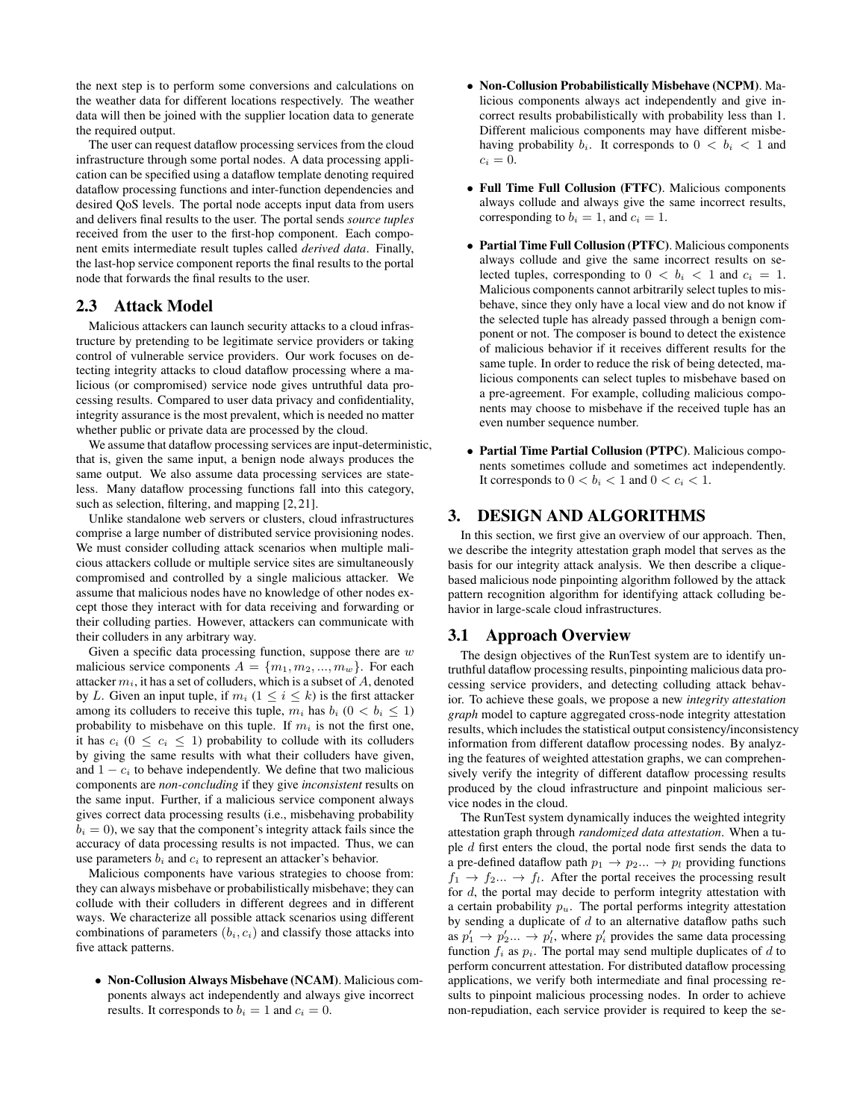the next step is to perform some conversions and calculations on the weather data for different locations respectively. The weather data will then be joined with the supplier location data to generate the required output.

The user can request dataflow processing services from the cloud infrastructure through some portal nodes. A data processing application can be specified using a dataflow template denoting required dataflow processing functions and inter-function dependencies and desired QoS levels. The portal node accepts input data from users and delivers final results to the user. The portal sends *source tuples* received from the user to the first-hop component. Each component emits intermediate result tuples called *derived data*. Finally, the last-hop service component reports the final results to the portal node that forwards the final results to the user.

# 2.3 Attack Model

Malicious attackers can launch security attacks to a cloud infrastructure by pretending to be legitimate service providers or taking control of vulnerable service providers. Our work focuses on detecting integrity attacks to cloud dataflow processing where a malicious (or compromised) service node gives untruthful data processing results. Compared to user data privacy and confidentiality, integrity assurance is the most prevalent, which is needed no matter whether public or private data are processed by the cloud.

We assume that dataflow processing services are input-deterministic, that is, given the same input, a benign node always produces the same output. We also assume data processing services are stateless. Many dataflow processing functions fall into this category, such as selection, filtering, and mapping [2, 21].

Unlike standalone web servers or clusters, cloud infrastructures comprise a large number of distributed service provisioning nodes. We must consider colluding attack scenarios when multiple malicious attackers collude or multiple service sites are simultaneously compromised and controlled by a single malicious attacker. We assume that malicious nodes have no knowledge of other nodes except those they interact with for data receiving and forwarding or their colluding parties. However, attackers can communicate with their colluders in any arbitrary way.

Given a specific data processing function, suppose there are  $w$ malicious service components  $A = \{m_1, m_2, ..., m_w\}$ . For each attacker  $m_i$ , it has a set of colluders, which is a subset of  $A$ , denoted by L. Given an input tuple, if  $m_i$  ( $1 \leq i \leq k$ ) is the first attacker among its colluders to receive this tuple,  $m_i$  has  $b_i$   $(0 < b_i \leq 1)$ probability to misbehave on this tuple. If  $m_i$  is not the first one, it has  $c_i$  ( $0 \leq c_i \leq 1$ ) probability to collude with its colluders by giving the same results with what their colluders have given, and  $1 - c_i$  to behave independently. We define that two malicious components are *non-concluding* if they give *inconsistent* results on the same input. Further, if a malicious service component always gives correct data processing results (i.e., misbehaving probability  $b_i = 0$ , we say that the component's integrity attack fails since the accuracy of data processing results is not impacted. Thus, we can use parameters  $b_i$  and  $c_i$  to represent an attacker's behavior.

Malicious components have various strategies to choose from: they can always misbehave or probabilistically misbehave; they can collude with their colluders in different degrees and in different ways. We characterize all possible attack scenarios using different combinations of parameters  $(b_i, c_i)$  and classify those attacks into five attack patterns.

• Non-Collusion Always Misbehave (NCAM). Malicious components always act independently and always give incorrect results. It corresponds to  $b_i = 1$  and  $c_i = 0$ .

- Non-Collusion Probabilistically Misbehave (NCPM). Malicious components always act independently and give incorrect results probabilistically with probability less than 1. Different malicious components may have different misbehaving probability  $b_i$ . It corresponds to  $0 < b_i < 1$  and  $c_i = 0$ .
- Full Time Full Collusion (FTFC). Malicious components always collude and always give the same incorrect results, corresponding to  $b_i = 1$ , and  $c_i = 1$ .
- Partial Time Full Collusion (PTFC). Malicious components always collude and give the same incorrect results on selected tuples, corresponding to  $0 < b_i < 1$  and  $c_i = 1$ . Malicious components cannot arbitrarily select tuples to misbehave, since they only have a local view and do not know if the selected tuple has already passed through a benign component or not. The composer is bound to detect the existence of malicious behavior if it receives different results for the same tuple. In order to reduce the risk of being detected, malicious components can select tuples to misbehave based on a pre-agreement. For example, colluding malicious components may choose to misbehave if the received tuple has an even number sequence number.
- Partial Time Partial Collusion (PTPC). Malicious components sometimes collude and sometimes act independently. It corresponds to  $0 < b_i < 1$  and  $0 < c_i < 1$ .

# 3. DESIGN AND ALGORITHMS

In this section, we first give an overview of our approach. Then, we describe the integrity attestation graph model that serves as the basis for our integrity attack analysis. We then describe a cliquebased malicious node pinpointing algorithm followed by the attack pattern recognition algorithm for identifying attack colluding behavior in large-scale cloud infrastructures.

# 3.1 Approach Overview

The design objectives of the RunTest system are to identify untruthful dataflow processing results, pinpointing malicious data processing service providers, and detecting colluding attack behavior. To achieve these goals, we propose a new *integrity attestation graph* model to capture aggregated cross-node integrity attestation results, which includes the statistical output consistency/inconsistency information from different dataflow processing nodes. By analyzing the features of weighted attestation graphs, we can comprehensively verify the integrity of different dataflow processing results produced by the cloud infrastructure and pinpoint malicious service nodes in the cloud.

The RunTest system dynamically induces the weighted integrity attestation graph through *randomized data attestation*. When a tuple d first enters the cloud, the portal node first sends the data to a pre-defined dataflow path  $p_1 \rightarrow p_2 \dots \rightarrow p_l$  providing functions  $f_1 \rightarrow f_2 \dots \rightarrow f_l$ . After the portal receives the processing result for d, the portal may decide to perform integrity attestation with a certain probability  $p_u$ . The portal performs integrity attestation by sending a duplicate of  $d$  to an alternative dataflow paths such as  $p'_1 \rightarrow p'_2 ... \rightarrow p'_l$ , where  $p'_i$  provides the same data processing function  $f_i$  as  $p_i$ . The portal may send multiple duplicates of d to perform concurrent attestation. For distributed dataflow processing applications, we verify both intermediate and final processing results to pinpoint malicious processing nodes. In order to achieve non-repudiation, each service provider is required to keep the se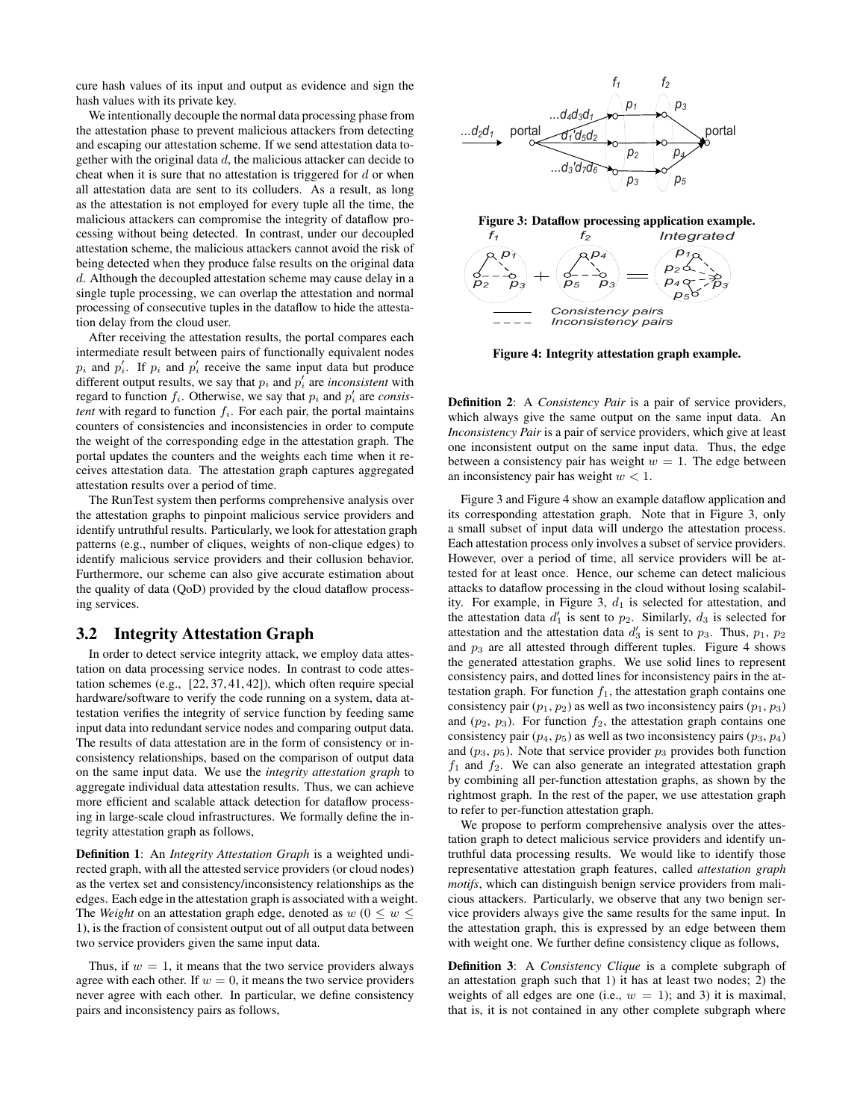cure hash values of its input and output as evidence and sign the hash values with its private key.

We intentionally decouple the normal data processing phase from the attestation phase to prevent malicious attackers from detecting and escaping our attestation scheme. If we send attestation data together with the original data  $d$ , the malicious attacker can decide to cheat when it is sure that no attestation is triggered for  $d$  or when all attestation data are sent to its colluders. As a result, as long as the attestation is not employed for every tuple all the time, the malicious attackers can compromise the integrity of dataflow processing without being detected. In contrast, under our decoupled attestation scheme, the malicious attackers cannot avoid the risk of being detected when they produce false results on the original data d. Although the decoupled attestation scheme may cause delay in a single tuple processing, we can overlap the attestation and normal processing of consecutive tuples in the dataflow to hide the attestation delay from the cloud user.

After receiving the attestation results, the portal compares each intermediate result between pairs of functionally equivalent nodes  $p_i$  and  $p'_i$ . If  $p_i$  and  $p'_i$  receive the same input data but produce different output results, we say that  $p_i$  and  $p'_i$  are *inconsistent* with regard to function  $f_i$ . Otherwise, we say that  $p_i$  and  $p'_i$  are *consistent* with regard to function  $f_i$ . For each pair, the portal maintains counters of consistencies and inconsistencies in order to compute the weight of the corresponding edge in the attestation graph. The portal updates the counters and the weights each time when it receives attestation data. The attestation graph captures aggregated attestation results over a period of time.

The RunTest system then performs comprehensive analysis over the attestation graphs to pinpoint malicious service providers and identify untruthful results. Particularly, we look for attestation graph patterns (e.g., number of cliques, weights of non-clique edges) to identify malicious service providers and their collusion behavior. Furthermore, our scheme can also give accurate estimation about the quality of data (QoD) provided by the cloud dataflow processing services.

#### 3.2 Integrity Attestation Graph

In order to detect service integrity attack, we employ data attestation on data processing service nodes. In contrast to code attestation schemes (e.g., [22, 37, 41, 42]), which often require special hardware/software to verify the code running on a system, data attestation verifies the integrity of service function by feeding same input data into redundant service nodes and comparing output data. The results of data attestation are in the form of consistency or inconsistency relationships, based on the comparison of output data on the same input data. We use the *integrity attestation graph* to aggregate individual data attestation results. Thus, we can achieve more efficient and scalable attack detection for dataflow processing in large-scale cloud infrastructures. We formally define the integrity attestation graph as follows,

Definition 1: An *Integrity Attestation Graph* is a weighted undirected graph, with all the attested service providers (or cloud nodes) as the vertex set and consistency/inconsistency relationships as the edges. Each edge in the attestation graph is associated with a weight. The *Weight* on an attestation graph edge, denoted as  $w(0 \leq w \leq$ 1), is the fraction of consistent output out of all output data between two service providers given the same input data.

Thus, if  $w = 1$ , it means that the two service providers always agree with each other. If  $w = 0$ , it means the two service providers never agree with each other. In particular, we define consistency pairs and inconsistency pairs as follows,



Figure 3: Dataflow processing application example.



Figure 4: Integrity attestation graph example.

Definition 2: A *Consistency Pair* is a pair of service providers, which always give the same output on the same input data. An *Inconsistency Pair* is a pair of service providers, which give at least one inconsistent output on the same input data. Thus, the edge between a consistency pair has weight  $w = 1$ . The edge between an inconsistency pair has weight  $w < 1$ .

Figure 3 and Figure 4 show an example dataflow application and its corresponding attestation graph. Note that in Figure 3, only a small subset of input data will undergo the attestation process. Each attestation process only involves a subset of service providers. However, over a period of time, all service providers will be attested for at least once. Hence, our scheme can detect malicious attacks to dataflow processing in the cloud without losing scalability. For example, in Figure 3,  $d_1$  is selected for attestation, and the attestation data  $d_1$  is sent to  $p_2$ . Similarly,  $d_3$  is selected for attestation and the attestation data  $d'_3$  is sent to  $p_3$ . Thus,  $p_1$ ,  $p_2$ and  $p_3$  are all attested through different tuples. Figure 4 shows the generated attestation graphs. We use solid lines to represent consistency pairs, and dotted lines for inconsistency pairs in the attestation graph. For function  $f_1$ , the attestation graph contains one consistency pair  $(p_1, p_2)$  as well as two inconsistency pairs  $(p_1, p_3)$ and  $(p_2, p_3)$ . For function  $f_2$ , the attestation graph contains one consistency pair  $(p_4, p_5)$  as well as two inconsistency pairs  $(p_3, p_4)$ and  $(p_3, p_5)$ . Note that service provider  $p_3$  provides both function  $f_1$  and  $f_2$ . We can also generate an integrated attestation graph by combining all per-function attestation graphs, as shown by the rightmost graph. In the rest of the paper, we use attestation graph to refer to per-function attestation graph.

We propose to perform comprehensive analysis over the attestation graph to detect malicious service providers and identify untruthful data processing results. We would like to identify those representative attestation graph features, called *attestation graph motifs*, which can distinguish benign service providers from malicious attackers. Particularly, we observe that any two benign service providers always give the same results for the same input. In the attestation graph, this is expressed by an edge between them with weight one. We further define consistency clique as follows,

Definition 3: A *Consistency Clique* is a complete subgraph of an attestation graph such that 1) it has at least two nodes; 2) the weights of all edges are one (i.e.,  $w = 1$ ); and 3) it is maximal, that is, it is not contained in any other complete subgraph where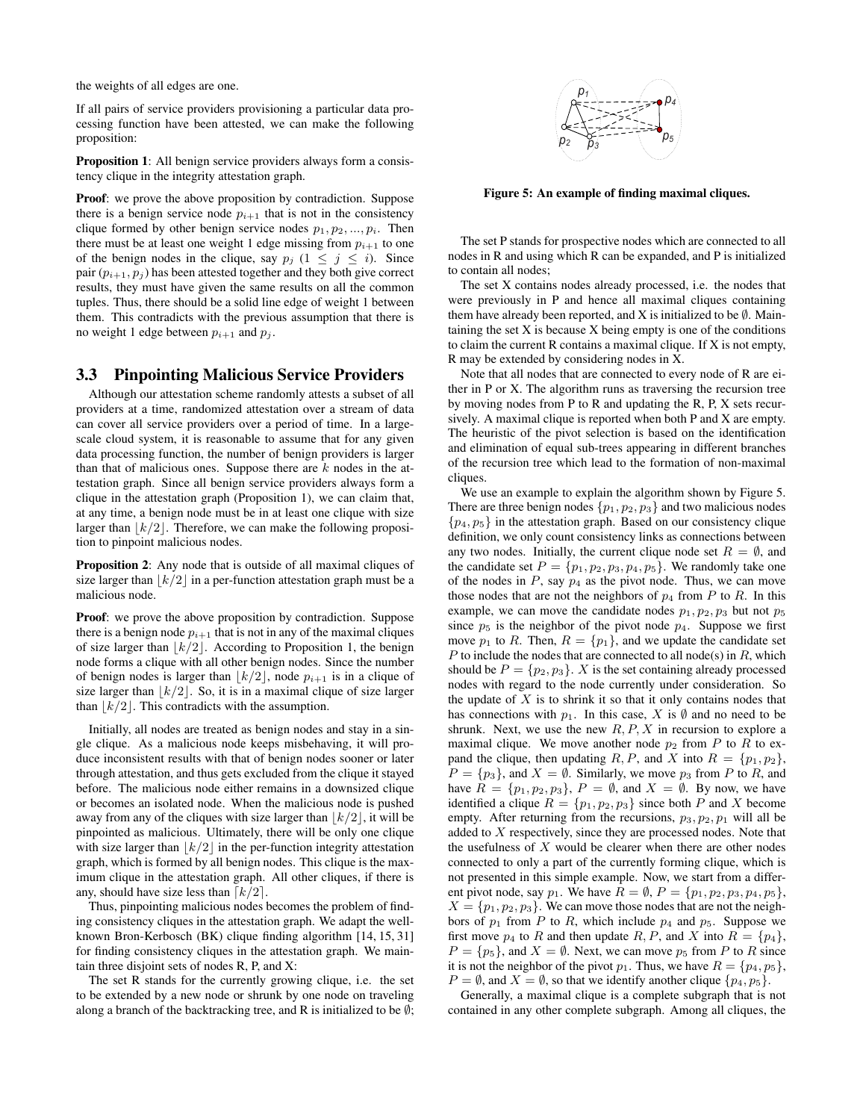the weights of all edges are one.

If all pairs of service providers provisioning a particular data processing function have been attested, we can make the following proposition:

Proposition 1: All benign service providers always form a consistency clique in the integrity attestation graph.

Proof: we prove the above proposition by contradiction. Suppose there is a benign service node  $p_{i+1}$  that is not in the consistency clique formed by other benign service nodes  $p_1, p_2, ..., p_i$ . Then there must be at least one weight 1 edge missing from  $p_{i+1}$  to one of the benign nodes in the clique, say  $p_i$  (1  $\leq j \leq i$ ). Since pair  $(p_{i+1}, p_i)$  has been attested together and they both give correct results, they must have given the same results on all the common tuples. Thus, there should be a solid line edge of weight 1 between them. This contradicts with the previous assumption that there is no weight 1 edge between  $p_{i+1}$  and  $p_i$ .

#### 3.3 Pinpointing Malicious Service Providers

Although our attestation scheme randomly attests a subset of all providers at a time, randomized attestation over a stream of data can cover all service providers over a period of time. In a largescale cloud system, it is reasonable to assume that for any given data processing function, the number of benign providers is larger than that of malicious ones. Suppose there are  $k$  nodes in the attestation graph. Since all benign service providers always form a clique in the attestation graph (Proposition 1), we can claim that, at any time, a benign node must be in at least one clique with size larger than  $k/2$ . Therefore, we can make the following proposition to pinpoint malicious nodes.

Proposition 2: Any node that is outside of all maximal cliques of size larger than  $\lfloor k/2 \rfloor$  in a per-function attestation graph must be a malicious node.

**Proof:** we prove the above proposition by contradiction. Suppose there is a benign node  $p_{i+1}$  that is not in any of the maximal cliques of size larger than  $\lfloor k/2 \rfloor$ . According to Proposition 1, the benign node forms a clique with all other benign nodes. Since the number of benign nodes is larger than  $|k/2|$ , node  $p_{i+1}$  is in a clique of size larger than  $|k/2|$ . So, it is in a maximal clique of size larger than  $\lfloor k/2 \rfloor$ . This contradicts with the assumption.

Initially, all nodes are treated as benign nodes and stay in a single clique. As a malicious node keeps misbehaving, it will produce inconsistent results with that of benign nodes sooner or later through attestation, and thus gets excluded from the clique it stayed before. The malicious node either remains in a downsized clique or becomes an isolated node. When the malicious node is pushed away from any of the cliques with size larger than  $\lfloor k/2 \rfloor$ , it will be pinpointed as malicious. Ultimately, there will be only one clique with size larger than  $\lfloor k/2 \rfloor$  in the per-function integrity attestation graph, which is formed by all benign nodes. This clique is the maximum clique in the attestation graph. All other cliques, if there is any, should have size less than  $\lceil k/2 \rceil$ .

Thus, pinpointing malicious nodes becomes the problem of finding consistency cliques in the attestation graph. We adapt the wellknown Bron-Kerbosch (BK) clique finding algorithm [14, 15, 31] for finding consistency cliques in the attestation graph. We maintain three disjoint sets of nodes R, P, and X:

The set R stands for the currently growing clique, i.e. the set to be extended by a new node or shrunk by one node on traveling along a branch of the backtracking tree, and R is initialized to be  $\emptyset$ ;



Figure 5: An example of finding maximal cliques.

The set P stands for prospective nodes which are connected to all nodes in R and using which R can be expanded, and P is initialized to contain all nodes;

The set X contains nodes already processed, i.e. the nodes that were previously in P and hence all maximal cliques containing them have already been reported, and X is initialized to be  $\emptyset$ . Maintaining the set  $X$  is because  $X$  being empty is one of the conditions to claim the current R contains a maximal clique. If X is not empty, R may be extended by considering nodes in X.

Note that all nodes that are connected to every node of R are either in P or X. The algorithm runs as traversing the recursion tree by moving nodes from P to R and updating the R, P, X sets recursively. A maximal clique is reported when both P and X are empty. The heuristic of the pivot selection is based on the identification and elimination of equal sub-trees appearing in different branches of the recursion tree which lead to the formation of non-maximal cliques.

We use an example to explain the algorithm shown by Figure 5. There are three benign nodes  $\{p_1, p_2, p_3\}$  and two malicious nodes  $\{p_4, p_5\}$  in the attestation graph. Based on our consistency clique definition, we only count consistency links as connections between any two nodes. Initially, the current clique node set  $R = \emptyset$ , and the candidate set  $P = \{p_1, p_2, p_3, p_4, p_5\}$ . We randomly take one of the nodes in  $P$ , say  $p_4$  as the pivot node. Thus, we can move those nodes that are not the neighbors of  $p_4$  from P to R. In this example, we can move the candidate nodes  $p_1, p_2, p_3$  but not  $p_5$ since  $p_5$  is the neighbor of the pivot node  $p_4$ . Suppose we first move  $p_1$  to R. Then,  $R = \{p_1\}$ , and we update the candidate set P to include the nodes that are connected to all node(s) in  $R$ , which should be  $P = \{p_2, p_3\}$ . X is the set containing already processed nodes with regard to the node currently under consideration. So the update of  $X$  is to shrink it so that it only contains nodes that has connections with  $p_1$ . In this case, X is  $\emptyset$  and no need to be shrunk. Next, we use the new  $R, P, X$  in recursion to explore a maximal clique. We move another node  $p_2$  from P to R to expand the clique, then updating R, P, and X into  $R = \{p_1, p_2\}$ ,  $P = \{p_3\}$ , and  $X = \emptyset$ . Similarly, we move  $p_3$  from P to R, and have  $R = \{p_1, p_2, p_3\}$ ,  $P = \emptyset$ , and  $X = \emptyset$ . By now, we have identified a clique  $R = \{p_1, p_2, p_3\}$  since both P and X become empty. After returning from the recursions,  $p_3$ ,  $p_2$ ,  $p_1$  will all be added to X respectively, since they are processed nodes. Note that the usefulness of  $X$  would be clearer when there are other nodes connected to only a part of the currently forming clique, which is not presented in this simple example. Now, we start from a different pivot node, say  $p_1$ . We have  $R = \emptyset$ ,  $P = \{p_1, p_2, p_3, p_4, p_5\}$ ,  $X = \{p_1, p_2, p_3\}$ . We can move those nodes that are not the neighbors of  $p_1$  from P to R, which include  $p_4$  and  $p_5$ . Suppose we first move  $p_4$  to R and then update R, P, and X into  $R = \{p_4\}$ ,  $P = \{p_5\}$ , and  $X = \emptyset$ . Next, we can move  $p_5$  from P to R since it is not the neighbor of the pivot  $p_1$ . Thus, we have  $R = \{p_4, p_5\}$ ,  $P = \emptyset$ , and  $X = \emptyset$ , so that we identify another clique  $\{p_4, p_5\}$ .

Generally, a maximal clique is a complete subgraph that is not contained in any other complete subgraph. Among all cliques, the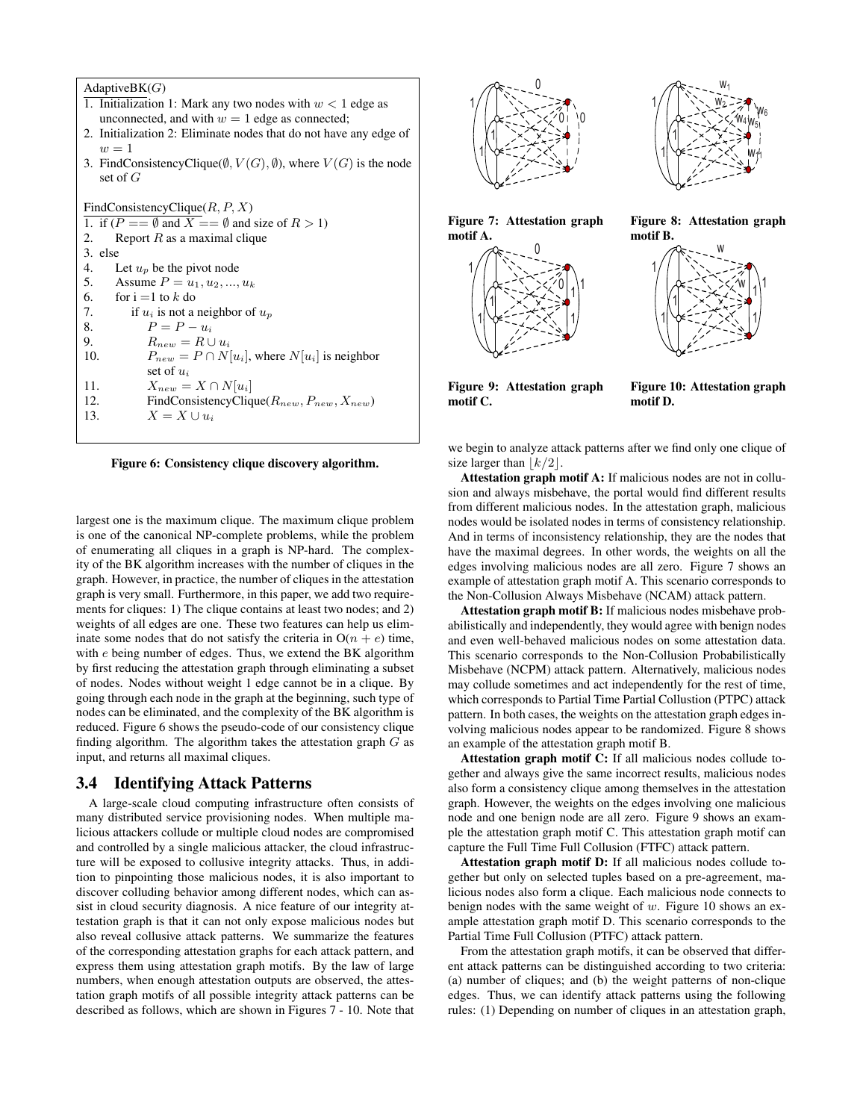

Figure 6: Consistency clique discovery algorithm.

largest one is the maximum clique. The maximum clique problem is one of the canonical NP-complete problems, while the problem of enumerating all cliques in a graph is NP-hard. The complexity of the BK algorithm increases with the number of cliques in the graph. However, in practice, the number of cliques in the attestation graph is very small. Furthermore, in this paper, we add two requirements for cliques: 1) The clique contains at least two nodes; and 2) weights of all edges are one. These two features can help us eliminate some nodes that do not satisfy the criteria in  $O(n + e)$  time, with e being number of edges. Thus, we extend the BK algorithm by first reducing the attestation graph through eliminating a subset of nodes. Nodes without weight 1 edge cannot be in a clique. By going through each node in the graph at the beginning, such type of nodes can be eliminated, and the complexity of the BK algorithm is reduced. Figure 6 shows the pseudo-code of our consistency clique finding algorithm. The algorithm takes the attestation graph  $G$  as input, and returns all maximal cliques.

# 3.4 Identifying Attack Patterns

A large-scale cloud computing infrastructure often consists of many distributed service provisioning nodes. When multiple malicious attackers collude or multiple cloud nodes are compromised and controlled by a single malicious attacker, the cloud infrastructure will be exposed to collusive integrity attacks. Thus, in addition to pinpointing those malicious nodes, it is also important to discover colluding behavior among different nodes, which can assist in cloud security diagnosis. A nice feature of our integrity attestation graph is that it can not only expose malicious nodes but also reveal collusive attack patterns. We summarize the features of the corresponding attestation graphs for each attack pattern, and express them using attestation graph motifs. By the law of large numbers, when enough attestation outputs are observed, the attestation graph motifs of all possible integrity attack patterns can be





Figure 7: Attestation graph motif A.



Figure 8: Attestation graph motif B.



Figure 9: Attestation graph motif C.

Figure 10: Attestation graph motif D.

we begin to analyze attack patterns after we find only one clique of size larger than  $\lfloor k/2 \rfloor$ .

Attestation graph motif A: If malicious nodes are not in collusion and always misbehave, the portal would find different results from different malicious nodes. In the attestation graph, malicious nodes would be isolated nodes in terms of consistency relationship. And in terms of inconsistency relationship, they are the nodes that have the maximal degrees. In other words, the weights on all the edges involving malicious nodes are all zero. Figure 7 shows an example of attestation graph motif A. This scenario corresponds to the Non-Collusion Always Misbehave (NCAM) attack pattern.

Attestation graph motif B: If malicious nodes misbehave probabilistically and independently, they would agree with benign nodes and even well-behaved malicious nodes on some attestation data. This scenario corresponds to the Non-Collusion Probabilistically Misbehave (NCPM) attack pattern. Alternatively, malicious nodes may collude sometimes and act independently for the rest of time, which corresponds to Partial Time Partial Collustion (PTPC) attack pattern. In both cases, the weights on the attestation graph edges involving malicious nodes appear to be randomized. Figure 8 shows an example of the attestation graph motif B.

Attestation graph motif C: If all malicious nodes collude together and always give the same incorrect results, malicious nodes also form a consistency clique among themselves in the attestation graph. However, the weights on the edges involving one malicious node and one benign node are all zero. Figure 9 shows an example the attestation graph motif C. This attestation graph motif can capture the Full Time Full Collusion (FTFC) attack pattern.

Attestation graph motif D: If all malicious nodes collude together but only on selected tuples based on a pre-agreement, malicious nodes also form a clique. Each malicious node connects to benign nodes with the same weight of  $w$ . Figure 10 shows an example attestation graph motif D. This scenario corresponds to the Partial Time Full Collusion (PTFC) attack pattern.

From the attestation graph motifs, it can be observed that different attack patterns can be distinguished according to two criteria: (a) number of cliques; and (b) the weight patterns of non-clique edges. Thus, we can identify attack patterns using the following rules: (1) Depending on number of cliques in an attestation graph,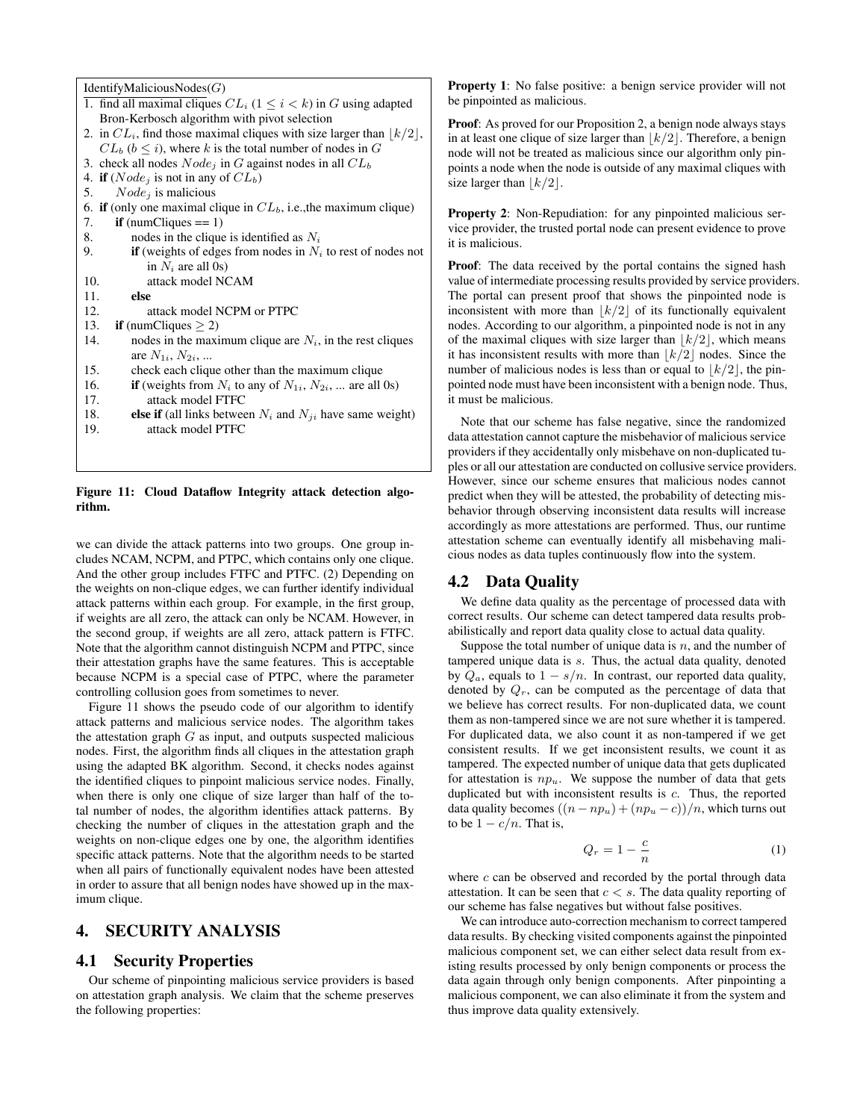$IdentifyMaliciousNodes(G)$ 

- 1. find all maximal cliques  $CL_i$  ( $1 \leq i \leq k$ ) in G using adapted Bron-Kerbosch algorithm with pivot selection 2. in  $CL_i$ , find those maximal cliques with size larger than  $\lfloor k/2 \rfloor$ ,  $CL_b$  ( $b \leq i$ ), where k is the total number of nodes in G
- 3. check all nodes  $Node_j$  in G against nodes in all  $CL_b$
- 4. if  $(Node_j$  is not in any of  $CL_b$ )
- 5.  $Node_j$  is malicious
- 6. if (only one maximal clique in  $CL_b$ , i.e.,the maximum clique) 7. if (numCliques  $== 1$ )
- 
- 8. nodes in the clique is identified as  $N_i$ <br>9. **if** (weights of edges from nodes in  $N_i$ if (weights of edges from nodes in  $N_i$  to rest of nodes not in  $N_i$  are all  $0s$ )
- 10. attack model NCAM
- 11. else
- 12. attack model NCPM or PTPC
- 13. if (numCliques  $>$  2)
- 14. nodes in the maximum clique are  $N_i$ , in the rest cliques are  $N_{1i}$ ,  $N_{2i}$ , ...
- 15. check each clique other than the maximum clique
- 16. **if** (weights from  $N_i$  to any of  $N_{1i}$ ,  $N_{2i}$ , ... are all 0s)
- 17. attack model FTFC
- 18. **else if** (all links between  $N_i$  and  $N_{ji}$  have same weight)
- 19. attack model PTFC

#### Figure 11: Cloud Dataflow Integrity attack detection algorithm.

we can divide the attack patterns into two groups. One group includes NCAM, NCPM, and PTPC, which contains only one clique. And the other group includes FTFC and PTFC. (2) Depending on the weights on non-clique edges, we can further identify individual attack patterns within each group. For example, in the first group, if weights are all zero, the attack can only be NCAM. However, in the second group, if weights are all zero, attack pattern is FTFC. Note that the algorithm cannot distinguish NCPM and PTPC, since their attestation graphs have the same features. This is acceptable because NCPM is a special case of PTPC, where the parameter controlling collusion goes from sometimes to never.

Figure 11 shows the pseudo code of our algorithm to identify attack patterns and malicious service nodes. The algorithm takes the attestation graph  $G$  as input, and outputs suspected malicious nodes. First, the algorithm finds all cliques in the attestation graph using the adapted BK algorithm. Second, it checks nodes against the identified cliques to pinpoint malicious service nodes. Finally, when there is only one clique of size larger than half of the total number of nodes, the algorithm identifies attack patterns. By checking the number of cliques in the attestation graph and the weights on non-clique edges one by one, the algorithm identifies specific attack patterns. Note that the algorithm needs to be started when all pairs of functionally equivalent nodes have been attested in order to assure that all benign nodes have showed up in the maximum clique.

# 4. SECURITY ANALYSIS

## 4.1 Security Properties

Our scheme of pinpointing malicious service providers is based on attestation graph analysis. We claim that the scheme preserves the following properties:

Property 1: No false positive: a benign service provider will not be pinpointed as malicious.

Proof: As proved for our Proposition 2, a benign node always stays in at least one clique of size larger than  $\lfloor k/2 \rfloor$ . Therefore, a benign node will not be treated as malicious since our algorithm only pinpoints a node when the node is outside of any maximal cliques with size larger than  $\lfloor k/2 \rfloor$ .

Property 2: Non-Repudiation: for any pinpointed malicious service provider, the trusted portal node can present evidence to prove it is malicious.

Proof: The data received by the portal contains the signed hash value of intermediate processing results provided by service providers. The portal can present proof that shows the pinpointed node is inconsistent with more than  $|k/2|$  of its functionally equivalent nodes. According to our algorithm, a pinpointed node is not in any of the maximal cliques with size larger than  $\lfloor k/2 \rfloor$ , which means it has inconsistent results with more than  $\lfloor k/2 \rfloor$  nodes. Since the number of malicious nodes is less than or equal to  $\lfloor k/2 \rfloor$ , the pinpointed node must have been inconsistent with a benign node. Thus, it must be malicious.

Note that our scheme has false negative, since the randomized data attestation cannot capture the misbehavior of malicious service providers if they accidentally only misbehave on non-duplicated tuples or all our attestation are conducted on collusive service providers. However, since our scheme ensures that malicious nodes cannot predict when they will be attested, the probability of detecting misbehavior through observing inconsistent data results will increase accordingly as more attestations are performed. Thus, our runtime attestation scheme can eventually identify all misbehaving malicious nodes as data tuples continuously flow into the system.

## 4.2 Data Quality

We define data quality as the percentage of processed data with correct results. Our scheme can detect tampered data results probabilistically and report data quality close to actual data quality.

Suppose the total number of unique data is  $n$ , and the number of tampered unique data is s. Thus, the actual data quality, denoted by  $Q_a$ , equals to  $1 - s/n$ . In contrast, our reported data quality, denoted by  $Q_r$ , can be computed as the percentage of data that we believe has correct results. For non-duplicated data, we count them as non-tampered since we are not sure whether it is tampered. For duplicated data, we also count it as non-tampered if we get consistent results. If we get inconsistent results, we count it as tampered. The expected number of unique data that gets duplicated for attestation is  $np_u$ . We suppose the number of data that gets duplicated but with inconsistent results is c. Thus, the reported data quality becomes  $((n - np_u) + (np_u - c))/n$ , which turns out to be  $1 - c/n$ . That is,

$$
Q_r = 1 - \frac{c}{n} \tag{1}
$$

where  $c$  can be observed and recorded by the portal through data attestation. It can be seen that  $c < s$ . The data quality reporting of our scheme has false negatives but without false positives.

We can introduce auto-correction mechanism to correct tampered data results. By checking visited components against the pinpointed malicious component set, we can either select data result from existing results processed by only benign components or process the data again through only benign components. After pinpointing a malicious component, we can also eliminate it from the system and thus improve data quality extensively.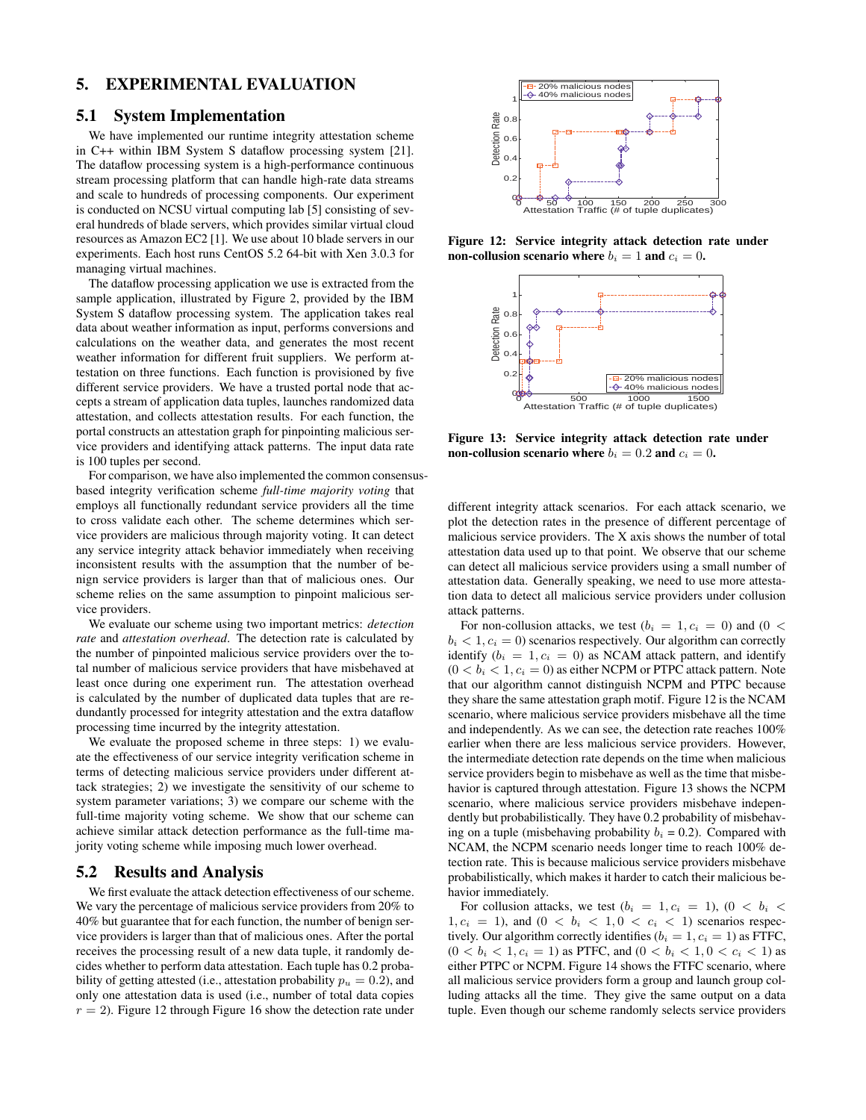# 5. EXPERIMENTAL EVALUATION

# 5.1 System Implementation

We have implemented our runtime integrity attestation scheme in C++ within IBM System S dataflow processing system [21]. The dataflow processing system is a high-performance continuous stream processing platform that can handle high-rate data streams and scale to hundreds of processing components. Our experiment is conducted on NCSU virtual computing lab [5] consisting of several hundreds of blade servers, which provides similar virtual cloud resources as Amazon EC2 [1]. We use about 10 blade servers in our experiments. Each host runs CentOS 5.2 64-bit with Xen 3.0.3 for managing virtual machines.

The dataflow processing application we use is extracted from the sample application, illustrated by Figure 2, provided by the IBM System S dataflow processing system. The application takes real data about weather information as input, performs conversions and calculations on the weather data, and generates the most recent weather information for different fruit suppliers. We perform attestation on three functions. Each function is provisioned by five different service providers. We have a trusted portal node that accepts a stream of application data tuples, launches randomized data attestation, and collects attestation results. For each function, the portal constructs an attestation graph for pinpointing malicious service providers and identifying attack patterns. The input data rate is 100 tuples per second.

For comparison, we have also implemented the common consensusbased integrity verification scheme *full-time majority voting* that employs all functionally redundant service providers all the time to cross validate each other. The scheme determines which service providers are malicious through majority voting. It can detect any service integrity attack behavior immediately when receiving inconsistent results with the assumption that the number of benign service providers is larger than that of malicious ones. Our scheme relies on the same assumption to pinpoint malicious service providers.

We evaluate our scheme using two important metrics: *detection rate* and *attestation overhead*. The detection rate is calculated by the number of pinpointed malicious service providers over the total number of malicious service providers that have misbehaved at least once during one experiment run. The attestation overhead is calculated by the number of duplicated data tuples that are redundantly processed for integrity attestation and the extra dataflow processing time incurred by the integrity attestation.

We evaluate the proposed scheme in three steps: 1) we evaluate the effectiveness of our service integrity verification scheme in terms of detecting malicious service providers under different attack strategies; 2) we investigate the sensitivity of our scheme to system parameter variations; 3) we compare our scheme with the full-time majority voting scheme. We show that our scheme can achieve similar attack detection performance as the full-time majority voting scheme while imposing much lower overhead.

# 5.2 Results and Analysis

We first evaluate the attack detection effectiveness of our scheme. We vary the percentage of malicious service providers from 20% to 40% but guarantee that for each function, the number of benign service providers is larger than that of malicious ones. After the portal receives the processing result of a new data tuple, it randomly decides whether to perform data attestation. Each tuple has 0.2 probability of getting attested (i.e., attestation probability  $p_u = 0.2$ ), and only one attestation data is used (i.e., number of total data copies  $r = 2$ ). Figure 12 through Figure 16 show the detection rate under



Figure 12: Service integrity attack detection rate under non-collusion scenario where  $b_i = 1$  and  $c_i = 0$ .



Figure 13: Service integrity attack detection rate under non-collusion scenario where  $b_i = 0.2$  and  $c_i = 0$ .

different integrity attack scenarios. For each attack scenario, we plot the detection rates in the presence of different percentage of malicious service providers. The X axis shows the number of total attestation data used up to that point. We observe that our scheme can detect all malicious service providers using a small number of attestation data. Generally speaking, we need to use more attestation data to detect all malicious service providers under collusion attack patterns.

For non-collusion attacks, we test  $(b_i = 1, c_i = 0)$  and  $(0 <$  $b_i < 1, c_i = 0$ ) scenarios respectively. Our algorithm can correctly identify  $(b_i = 1, c_i = 0)$  as NCAM attack pattern, and identify  $(0 < b<sub>i</sub> < 1, c<sub>i</sub> = 0)$  as either NCPM or PTPC attack pattern. Note that our algorithm cannot distinguish NCPM and PTPC because they share the same attestation graph motif. Figure 12 is the NCAM scenario, where malicious service providers misbehave all the time and independently. As we can see, the detection rate reaches 100% earlier when there are less malicious service providers. However, the intermediate detection rate depends on the time when malicious service providers begin to misbehave as well as the time that misbehavior is captured through attestation. Figure 13 shows the NCPM scenario, where malicious service providers misbehave independently but probabilistically. They have 0.2 probability of misbehaving on a tuple (misbehaving probability  $b_i = 0.2$ ). Compared with NCAM, the NCPM scenario needs longer time to reach 100% detection rate. This is because malicious service providers misbehave probabilistically, which makes it harder to catch their malicious behavior immediately.

For collusion attacks, we test  $(b_i = 1, c_i = 1)$ ,  $(0 \lt b_i \lt$  $1, c_i = 1$ ), and  $(0 < b_i < 1, 0 < c_i < 1)$  scenarios respectively. Our algorithm correctly identifies ( $b_i = 1, c_i = 1$ ) as FTFC,  $(0 < b_i < 1, c_i = 1)$  as PTFC, and  $(0 < b_i < 1, 0 < c_i < 1)$  as either PTPC or NCPM. Figure 14 shows the FTFC scenario, where all malicious service providers form a group and launch group colluding attacks all the time. They give the same output on a data tuple. Even though our scheme randomly selects service providers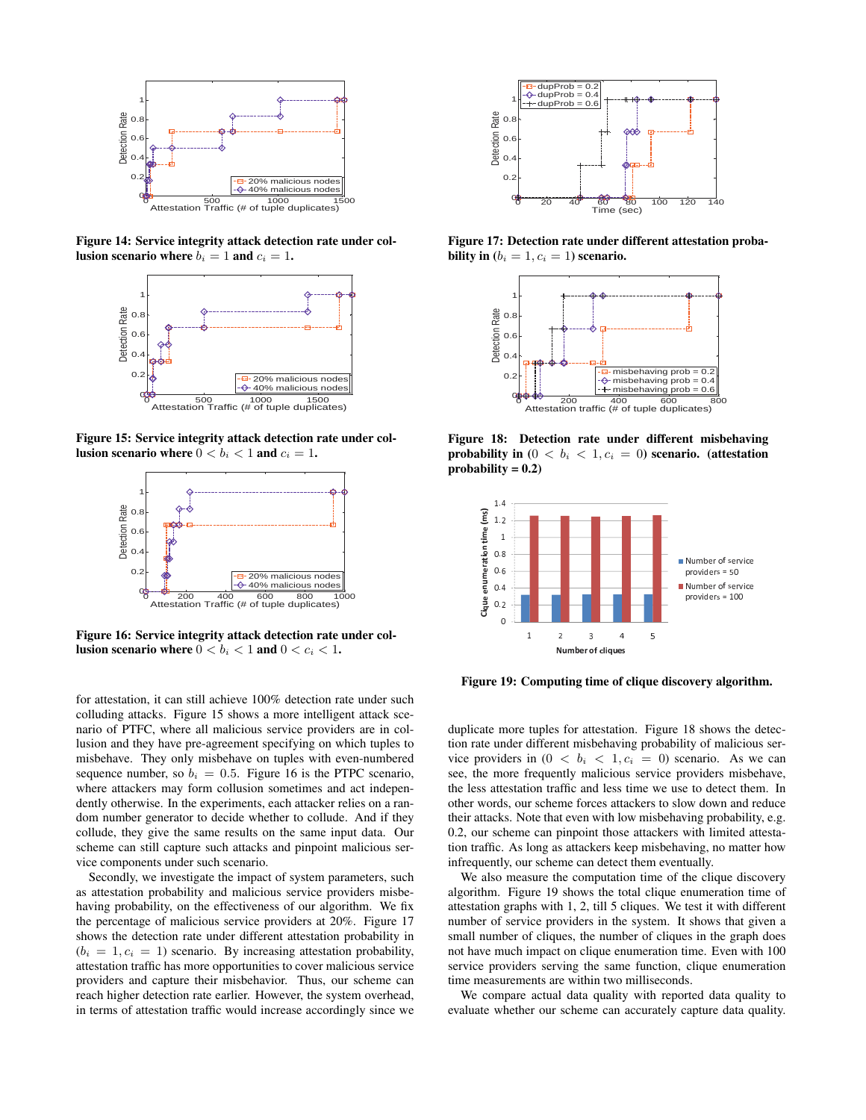

Figure 14: Service integrity attack detection rate under collusion scenario where  $b_i = 1$  and  $c_i = 1$ .



Figure 15: Service integrity attack detection rate under collusion scenario where  $0 < b_i < 1$  and  $c_i = 1$ .



Figure 16: Service integrity attack detection rate under collusion scenario where  $0 < b_i < 1$  and  $0 < c_i < 1$ .

for attestation, it can still achieve 100% detection rate under such colluding attacks. Figure 15 shows a more intelligent attack scenario of PTFC, where all malicious service providers are in collusion and they have pre-agreement specifying on which tuples to misbehave. They only misbehave on tuples with even-numbered sequence number, so  $b_i = 0.5$ . Figure 16 is the PTPC scenario, where attackers may form collusion sometimes and act independently otherwise. In the experiments, each attacker relies on a random number generator to decide whether to collude. And if they collude, they give the same results on the same input data. Our scheme can still capture such attacks and pinpoint malicious service components under such scenario.

Secondly, we investigate the impact of system parameters, such as attestation probability and malicious service providers misbehaving probability, on the effectiveness of our algorithm. We fix the percentage of malicious service providers at 20%. Figure 17 shows the detection rate under different attestation probability in  $(b_i = 1, c_i = 1)$  scenario. By increasing attestation probability, attestation traffic has more opportunities to cover malicious service providers and capture their misbehavior. Thus, our scheme can reach higher detection rate earlier. However, the system overhead, in terms of attestation traffic would increase accordingly since we



Figure 17: Detection rate under different attestation probability in  $(b_i = 1, c_i = 1)$  scenario.



Figure 18: Detection rate under different misbehaving probability in  $(0 < b_i < 1, c_i = 0)$  scenario. (attestation probability  $= 0.2$ )



Figure 19: Computing time of clique discovery algorithm.

duplicate more tuples for attestation. Figure 18 shows the detection rate under different misbehaving probability of malicious service providers in  $(0 \lt b_i \lt 1, c_i = 0)$  scenario. As we can see, the more frequently malicious service providers misbehave, the less attestation traffic and less time we use to detect them. In other words, our scheme forces attackers to slow down and reduce their attacks. Note that even with low misbehaving probability, e.g. 0.2, our scheme can pinpoint those attackers with limited attestation traffic. As long as attackers keep misbehaving, no matter how infrequently, our scheme can detect them eventually.

We also measure the computation time of the clique discovery algorithm. Figure 19 shows the total clique enumeration time of attestation graphs with 1, 2, till 5 cliques. We test it with different number of service providers in the system. It shows that given a small number of cliques, the number of cliques in the graph does not have much impact on clique enumeration time. Even with 100 service providers serving the same function, clique enumeration time measurements are within two milliseconds.

We compare actual data quality with reported data quality to evaluate whether our scheme can accurately capture data quality.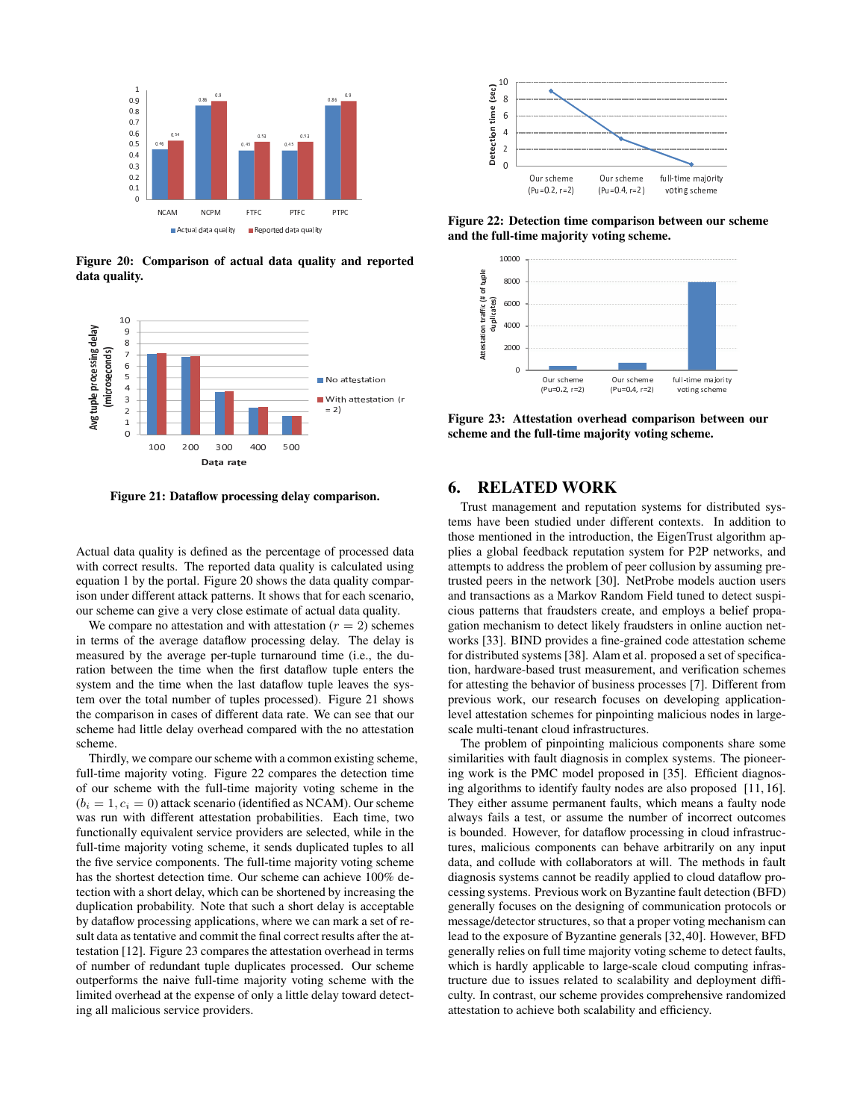

Figure 20: Comparison of actual data quality and reported data quality.



Figure 21: Dataflow processing delay comparison.

Actual data quality is defined as the percentage of processed data with correct results. The reported data quality is calculated using equation 1 by the portal. Figure 20 shows the data quality comparison under different attack patterns. It shows that for each scenario, our scheme can give a very close estimate of actual data quality.

We compare no attestation and with attestation  $(r = 2)$  schemes in terms of the average dataflow processing delay. The delay is measured by the average per-tuple turnaround time (i.e., the duration between the time when the first dataflow tuple enters the system and the time when the last dataflow tuple leaves the system over the total number of tuples processed). Figure 21 shows the comparison in cases of different data rate. We can see that our scheme had little delay overhead compared with the no attestation scheme.

Thirdly, we compare our scheme with a common existing scheme, full-time majority voting. Figure 22 compares the detection time of our scheme with the full-time majority voting scheme in the  $(b<sub>i</sub> = 1, c<sub>i</sub> = 0)$  attack scenario (identified as NCAM). Our scheme was run with different attestation probabilities. Each time, two functionally equivalent service providers are selected, while in the full-time majority voting scheme, it sends duplicated tuples to all the five service components. The full-time majority voting scheme has the shortest detection time. Our scheme can achieve 100% detection with a short delay, which can be shortened by increasing the duplication probability. Note that such a short delay is acceptable by dataflow processing applications, where we can mark a set of result data as tentative and commit the final correct results after the attestation [12]. Figure 23 compares the attestation overhead in terms of number of redundant tuple duplicates processed. Our scheme outperforms the naive full-time majority voting scheme with the limited overhead at the expense of only a little delay toward detecting all malicious service providers.



Figure 22: Detection time comparison between our scheme and the full-time majority voting scheme.



Figure 23: Attestation overhead comparison between our scheme and the full-time majority voting scheme.

# 6. RELATED WORK

Trust management and reputation systems for distributed systems have been studied under different contexts. In addition to those mentioned in the introduction, the EigenTrust algorithm applies a global feedback reputation system for P2P networks, and attempts to address the problem of peer collusion by assuming pretrusted peers in the network [30]. NetProbe models auction users and transactions as a Markov Random Field tuned to detect suspicious patterns that fraudsters create, and employs a belief propagation mechanism to detect likely fraudsters in online auction networks [33]. BIND provides a fine-grained code attestation scheme for distributed systems [38]. Alam et al. proposed a set of specification, hardware-based trust measurement, and verification schemes for attesting the behavior of business processes [7]. Different from previous work, our research focuses on developing applicationlevel attestation schemes for pinpointing malicious nodes in largescale multi-tenant cloud infrastructures.

The problem of pinpointing malicious components share some similarities with fault diagnosis in complex systems. The pioneering work is the PMC model proposed in [35]. Efficient diagnosing algorithms to identify faulty nodes are also proposed [11, 16]. They either assume permanent faults, which means a faulty node always fails a test, or assume the number of incorrect outcomes is bounded. However, for dataflow processing in cloud infrastructures, malicious components can behave arbitrarily on any input data, and collude with collaborators at will. The methods in fault diagnosis systems cannot be readily applied to cloud dataflow processing systems. Previous work on Byzantine fault detection (BFD) generally focuses on the designing of communication protocols or message/detector structures, so that a proper voting mechanism can lead to the exposure of Byzantine generals [32,40]. However, BFD generally relies on full time majority voting scheme to detect faults, which is hardly applicable to large-scale cloud computing infrastructure due to issues related to scalability and deployment difficulty. In contrast, our scheme provides comprehensive randomized attestation to achieve both scalability and efficiency.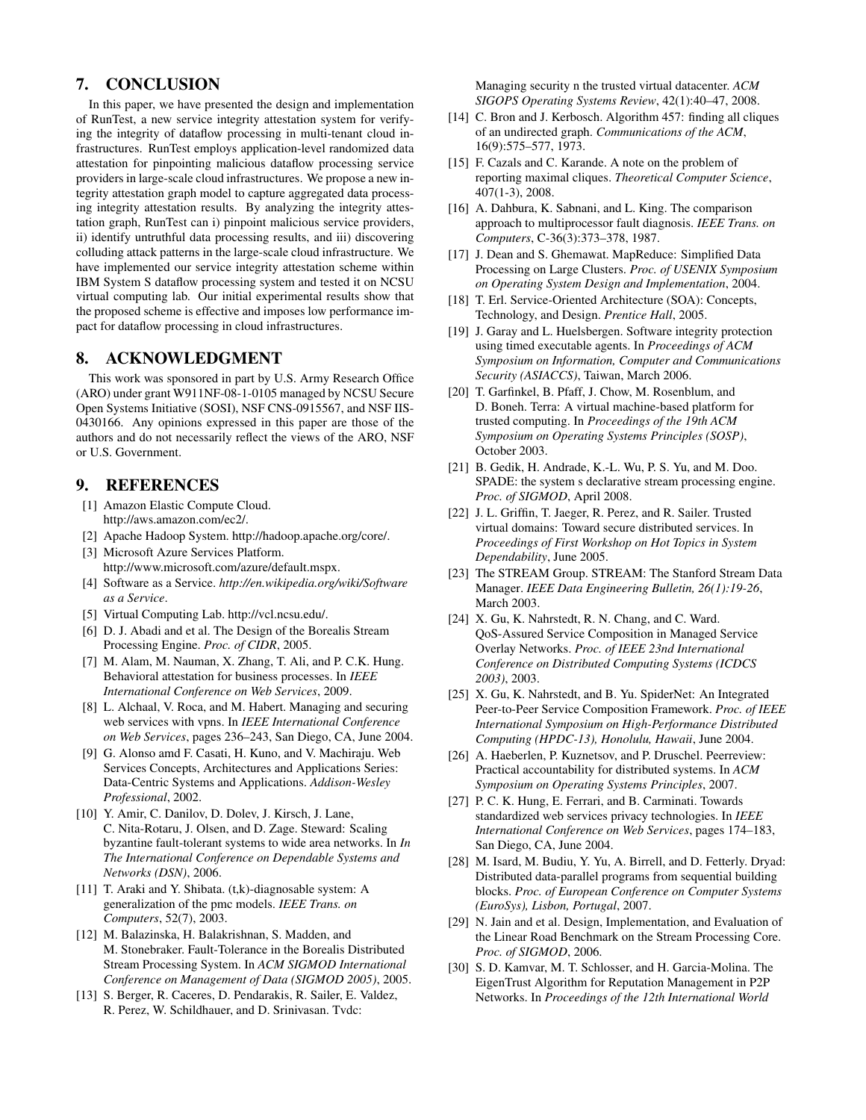# 7. CONCLUSION

In this paper, we have presented the design and implementation of RunTest, a new service integrity attestation system for verifying the integrity of dataflow processing in multi-tenant cloud infrastructures. RunTest employs application-level randomized data attestation for pinpointing malicious dataflow processing service providers in large-scale cloud infrastructures. We propose a new integrity attestation graph model to capture aggregated data processing integrity attestation results. By analyzing the integrity attestation graph, RunTest can i) pinpoint malicious service providers, ii) identify untruthful data processing results, and iii) discovering colluding attack patterns in the large-scale cloud infrastructure. We have implemented our service integrity attestation scheme within IBM System S dataflow processing system and tested it on NCSU virtual computing lab. Our initial experimental results show that the proposed scheme is effective and imposes low performance impact for dataflow processing in cloud infrastructures.

# 8. ACKNOWLEDGMENT

This work was sponsored in part by U.S. Army Research Office (ARO) under grant W911NF-08-1-0105 managed by NCSU Secure Open Systems Initiative (SOSI), NSF CNS-0915567, and NSF IIS-0430166. Any opinions expressed in this paper are those of the authors and do not necessarily reflect the views of the ARO, NSF or U.S. Government.

# 9. REFERENCES

- [1] Amazon Elastic Compute Cloud. http://aws.amazon.com/ec2/.
- [2] Apache Hadoop System. http://hadoop.apache.org/core/.
- [3] Microsoft Azure Services Platform. http://www.microsoft.com/azure/default.mspx.
- [4] Software as a Service. *http://en.wikipedia.org/wiki/Software as a Service*.
- [5] Virtual Computing Lab. http://vcl.ncsu.edu/.
- [6] D. J. Abadi and et al. The Design of the Borealis Stream Processing Engine. *Proc. of CIDR*, 2005.
- [7] M. Alam, M. Nauman, X. Zhang, T. Ali, and P. C.K. Hung. Behavioral attestation for business processes. In *IEEE International Conference on Web Services*, 2009.
- [8] L. Alchaal, V. Roca, and M. Habert. Managing and securing web services with vpns. In *IEEE International Conference on Web Services*, pages 236–243, San Diego, CA, June 2004.
- [9] G. Alonso amd F. Casati, H. Kuno, and V. Machiraju. Web Services Concepts, Architectures and Applications Series: Data-Centric Systems and Applications. *Addison-Wesley Professional*, 2002.
- [10] Y. Amir, C. Danilov, D. Dolev, J. Kirsch, J. Lane, C. Nita-Rotaru, J. Olsen, and D. Zage. Steward: Scaling byzantine fault-tolerant systems to wide area networks. In *In The International Conference on Dependable Systems and Networks (DSN)*, 2006.
- [11] T. Araki and Y. Shibata. (t,k)-diagnosable system: A generalization of the pmc models. *IEEE Trans. on Computers*, 52(7), 2003.
- [12] M. Balazinska, H. Balakrishnan, S. Madden, and M. Stonebraker. Fault-Tolerance in the Borealis Distributed Stream Processing System. In *ACM SIGMOD International Conference on Management of Data (SIGMOD 2005)*, 2005.
- [13] S. Berger, R. Caceres, D. Pendarakis, R. Sailer, E. Valdez, R. Perez, W. Schildhauer, and D. Srinivasan. Tvdc:

Managing security n the trusted virtual datacenter. *ACM SIGOPS Operating Systems Review*, 42(1):40–47, 2008.

- [14] C. Bron and J. Kerbosch. Algorithm 457: finding all cliques of an undirected graph. *Communications of the ACM*, 16(9):575–577, 1973.
- [15] F. Cazals and C. Karande. A note on the problem of reporting maximal cliques. *Theoretical Computer Science*, 407(1-3), 2008.
- [16] A. Dahbura, K. Sabnani, and L. King. The comparison approach to multiprocessor fault diagnosis. *IEEE Trans. on Computers*, C-36(3):373–378, 1987.
- [17] J. Dean and S. Ghemawat. MapReduce: Simplified Data Processing on Large Clusters. *Proc. of USENIX Symposium on Operating System Design and Implementation*, 2004.
- [18] T. Erl. Service-Oriented Architecture (SOA): Concepts, Technology, and Design. *Prentice Hall*, 2005.
- [19] J. Garay and L. Huelsbergen. Software integrity protection using timed executable agents. In *Proceedings of ACM Symposium on Information, Computer and Communications Security (ASIACCS)*, Taiwan, March 2006.
- [20] T. Garfinkel, B. Pfaff, J. Chow, M. Rosenblum, and D. Boneh. Terra: A virtual machine-based platform for trusted computing. In *Proceedings of the 19th ACM Symposium on Operating Systems Principles (SOSP)*, October 2003.
- [21] B. Gedik, H. Andrade, K.-L. Wu, P. S. Yu, and M. Doo. SPADE: the system s declarative stream processing engine. *Proc. of SIGMOD*, April 2008.
- [22] J. L. Griffin, T. Jaeger, R. Perez, and R. Sailer. Trusted virtual domains: Toward secure distributed services. In *Proceedings of First Workshop on Hot Topics in System Dependability*, June 2005.
- [23] The STREAM Group. STREAM: The Stanford Stream Data Manager. *IEEE Data Engineering Bulletin, 26(1):19-26*, March 2003.
- [24] X. Gu, K. Nahrstedt, R. N. Chang, and C. Ward. QoS-Assured Service Composition in Managed Service Overlay Networks. *Proc. of IEEE 23nd International Conference on Distributed Computing Systems (ICDCS 2003)*, 2003.
- [25] X. Gu, K. Nahrstedt, and B. Yu. SpiderNet: An Integrated Peer-to-Peer Service Composition Framework. *Proc. of IEEE International Symposium on High-Performance Distributed Computing (HPDC-13), Honolulu, Hawaii*, June 2004.
- [26] A. Haeberlen, P. Kuznetsov, and P. Druschel. Peerreview: Practical accountability for distributed systems. In *ACM Symposium on Operating Systems Principles*, 2007.
- [27] P. C. K. Hung, E. Ferrari, and B. Carminati. Towards standardized web services privacy technologies. In *IEEE International Conference on Web Services*, pages 174–183, San Diego, CA, June 2004.
- [28] M. Isard, M. Budiu, Y. Yu, A. Birrell, and D. Fetterly. Dryad: Distributed data-parallel programs from sequential building blocks. *Proc. of European Conference on Computer Systems (EuroSys), Lisbon, Portugal*, 2007.
- [29] N. Jain and et al. Design, Implementation, and Evaluation of the Linear Road Benchmark on the Stream Processing Core. *Proc. of SIGMOD*, 2006.
- [30] S. D. Kamvar, M. T. Schlosser, and H. Garcia-Molina. The EigenTrust Algorithm for Reputation Management in P2P Networks. In *Proceedings of the 12th International World*